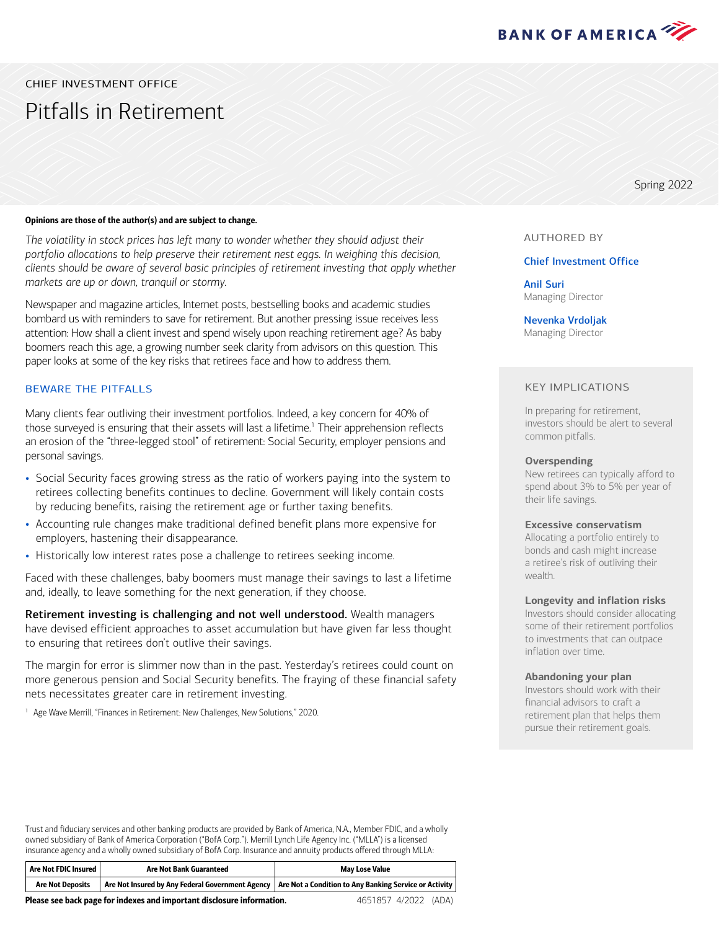

### CHIEF INVESTMENT OFFICE

# Pitfalls in Retirement

#### Opinions are those of the author(s) and are subject to change.

*The volatility in stock prices has left many to wonder whether they should adjust their portfolio allocations to help preserve their retirement nest eggs. In weighing this decision, clients should be aware of several basic principles of retirement investing that apply whether markets are up or down, tranquil or stormy.*

Newspaper and magazine articles, Internet posts, bestselling books and academic studies bombard us with reminders to save for retirement. But another pressing issue receives less attention: How shall a client invest and spend wisely upon reaching retirement age? As baby boomers reach this age, a growing number seek clarity from advisors on this question. This paper looks at some of the key risks that retirees face and how to address them.

#### BEWARE THE PITFALLS

Many clients fear outliving their investment portfolios. Indeed, a key concern for 40% of those surveyed is ensuring that their assets will last a lifetime.<sup>1</sup> Their apprehension reflects an erosion of the "three-legged stool" of retirement: Social Security, employer pensions and personal savings.

- Social Security faces growing stress as the ratio of workers paying into the system to retirees collecting benefits continues to decline. Government will likely contain costs by reducing benefits, raising the retirement age or further taxing benefits.
- Accounting rule changes make traditional defined benefit plans more expensive for employers, hastening their disappearance.
- Historically low interest rates pose a challenge to retirees seeking income.

Faced with these challenges, baby boomers must manage their savings to last a lifetime and, ideally, to leave something for the next generation, if they choose.

Retirement investing is challenging and not well understood. Wealth managers have devised efficient approaches to asset accumulation but have given far less thought to ensuring that retirees don't outlive their savings.

The margin for error is slimmer now than in the past. Yesterday's retirees could count on more generous pension and Social Security benefits. The fraying of these financial safety nets necessitates greater care in retirement investing.

<span id="page-0-0"></span><sup>[1](#page-0-1)</sup> Age Wave Merrill, "Finances in Retirement: New Challenges, New Solutions," 2020.

AUTHORED BY

Spring 2022

#### Chief Investment Office

Anil Suri Managing Director

Nevenka Vrdoljak Managing Director

#### KEY IMPLICATIONS

<span id="page-0-1"></span>In preparing for retirement, investors should be alert to several common pitfalls.

#### **Overspending**

New retirees can typically afford to spend about 3% to 5% per year of their life savings.

#### **Excessive conservatism**

Allocating a portfolio entirely to bonds and cash might increase a retiree's risk of outliving their wealth.

#### **Longevity and inflation risks**

Investors should consider allocating some of their retirement portfolios to investments that can outpace inflation over time.

#### **Abandoning your plan**

Investors should work with their financial advisors to craft a retirement plan that helps them pursue their retirement goals.

Trust and fiduciary services and other banking products are provided by Bank of America, N.A., Member FDIC, and a wholly owned subsidiary of Bank of America Corporation ("BofA Corp."). Merrill Lynch Life Agency Inc. ("MLLA") is a licensed insurance agency and a wholly owned subsidiary of BofA Corp. Insurance and annuity products offered through MLLA:

| Are Not FDIC Insured | <b>Are Not Bank Guaranteed</b> | <b>May Lose Value</b>                                                                                              |
|----------------------|--------------------------------|--------------------------------------------------------------------------------------------------------------------|
| Are Not Deposits     |                                | <b>Are Not Insured by Any Federal Government Agency   Are Not a Condition to Any Banking Service or Activity  </b> |

Please see back page for indexes and important disclosure information.

4651857 4/2022 (ADA)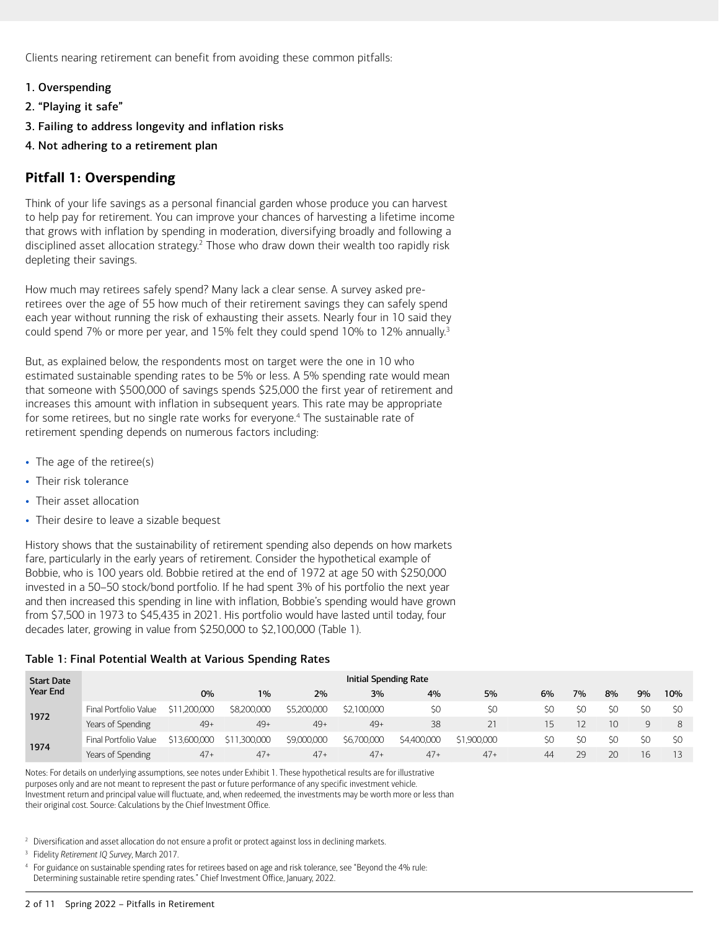Clients nearing retirement can benefit from avoiding these common pitfalls:

- 1. Overspending
- 2. "Playing it safe"
- 3. Failing to address longevity and inflation risks
- 4. Not adhering to a retirement plan

# **Pitfall 1: Overspending**

<span id="page-1-1"></span>Think of your life savings as a personal financial garden whose produce you can harvest to help pay for retirement. You can improve your chances of harvesting a lifetime income that grows with inflation by spending in moderation, diversifying broadly and following a disciplined asset allocation strategy.<sup>[2](#page-1-0)</sup> Those who draw down their wealth too rapidly risk depleting their savings.

How much may retirees safely spend? Many lack a clear sense. A survey asked preretirees over the age of 55 how much of their retirement savings they can safely spend each year without running the risk of exhausting their assets. Nearly four in 10 said they could spend 7% or more per year, and 15% felt they could spend 10% to 12% annually.<sup>3</sup>

<span id="page-1-3"></span>But, as explained below, the respondents most on target were the one in 10 who estimated sustainable spending rates to be 5% or less. A 5% spending rate would mean that someone with \$500,000 of savings spends \$25,000 the first year of retirement and increases this amount with inflation in subsequent years. This rate may be appropriate for some retirees, but no single rate works for everyone.<sup>4</sup> The sustainable rate of retirement spending depends on numerous factors including:

- <span id="page-1-5"></span>• The age of the retiree(s)
- Their risk tolerance
- Their asset allocation
- Their desire to leave a sizable bequest

History shows that the sustainability of retirement spending also depends on how markets fare, particularly in the early years of retirement. Consider the hypothetical example of Bobbie, who is 100 years old. Bobbie retired at the end of 1972 at age 50 with \$250,000 invested in a 50–50 stock/bond portfolio. If he had spent 3% of his portfolio the next year and then increased this spending in line with inflation, Bobbie's spending would have grown from \$7,500 in 1973 to \$45,435 in 2021. His portfolio would have lasted until today, four decades later, growing in value from \$250,000 to \$2,100,000 (Table 1).

#### Table 1: Final Potential Wealth at Various Spending Rates

| <b>Start Date</b> | Initial Spending Rate |                   |              |             |             |             |             |     |     |     |     |                  |
|-------------------|-----------------------|-------------------|--------------|-------------|-------------|-------------|-------------|-----|-----|-----|-----|------------------|
| <b>Year End</b>   |                       | 0%                | 1%           | 2%          | 3%          | 4%          | 5%          | 6%  | 7%  | 8%  | 9%  | 10%              |
| 1972              | Final Portfolio Value | ,200,000<br>5 L L | \$8,200,000  | \$5,200,000 | \$2,100,000 | \$0         | \$0         | ςU. | \$0 | \$0 | \$0 | \$0              |
|                   | Years of Spending     | $49+$             | $49+$        | $49+$       | $49+$       | 38          | 5.          |     |     | 10  | Q   | 8                |
| 1974              | Final Portfolio Value | \$13,600,000      | \$11,300,000 | \$9,000,000 | \$6,700,000 | \$4,400,000 | \$1,900,000 | \$0 | \$0 | \$0 | \$0 | \$0              |
|                   | Years of Spending     | $47+$             | $47+$        | $47+$       | $47+$       | $47+$       | $47+$       | 44  | 29  | 20  | 16  | 13 <sup>13</sup> |

Notes: For details on underlying assumptions, see notes under Exhibit 1. These hypothetical results are for illustrative purposes only and are not meant to represent the past or future performance of any specific investment vehicle. Investment return and principal value will fluctuate, and, when redeemed, the investments may be worth more or less than their original cost. Source: Calculations by the Chief Investment Office.

<span id="page-1-0"></span><sup>[2](#page-1-1)</sup> Diversification and asset allocation do not ensure a profit or protect against loss in declining markets.

<span id="page-1-2"></span>[3](#page-1-3) Fidelity *Retirement IQ Survey*, March 2017.

<span id="page-1-4"></span>[4](#page-1-5) For guidance on sustainable spending rates for retirees based on age and risk tolerance, see "Beyond the 4% rule: Determining sustainable retire spending rates." Chief Investment Office, January, 2022.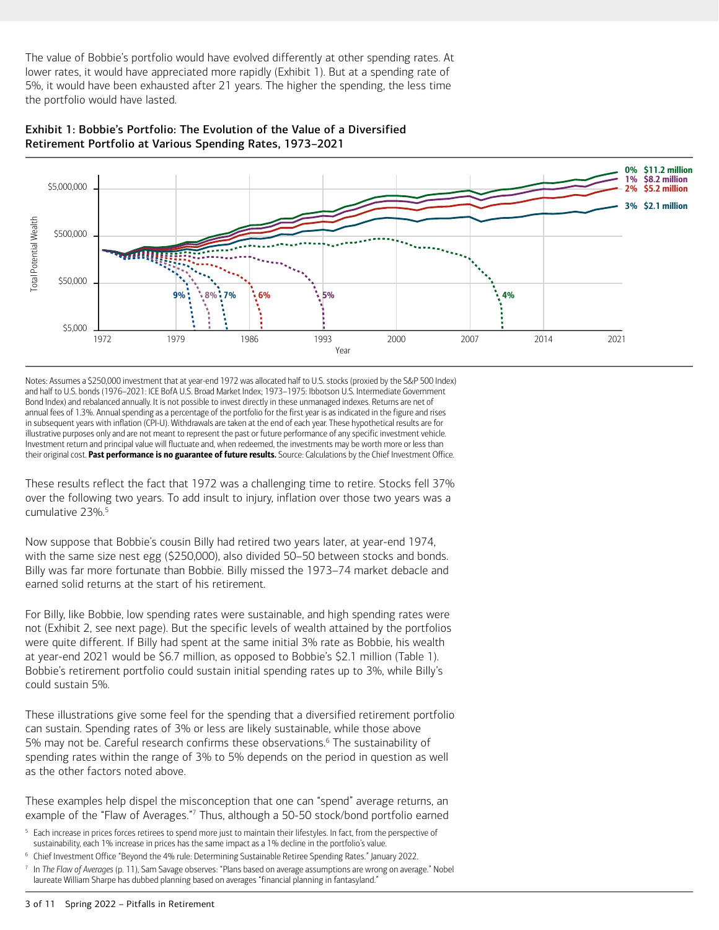The value of Bobbie's portfolio would have evolved differently at other spending rates. At lower rates, it would have appreciated more rapidly (Exhibit 1). But at a spending rate of 5%, it would have been exhausted after 21 years. The higher the spending, the less time the portfolio would have lasted.





Notes: Assumes a \$250,000 investment that at year-end 1972 was allocated half to U.S. stocks (proxied by the S&P 500 Index) and half to U.S. bonds (1976–2021: ICE BofA U.S. Broad Market Index; 1973–1975: Ibbotson U.S. Intermediate Government Bond Index) and rebalanced annually. It is not possible to invest directly in these unmanaged indexes. Returns are net of annual fees of 1.3%. Annual spending as a percentage of the portfolio for the first year is as indicated in the figure and rises in subsequent years with inflation (CPI-U). Withdrawals are taken at the end of each year. These hypothetical results are for illustrative purposes only and are not meant to represent the past or future performance of any specific investment vehicle. Investment return and principal value will fluctuate and, when redeemed, the investments may be worth more or less than their original cost. Past performance is no guarantee of future results. Source: Calculations by the Chief Investment Office.

<span id="page-2-1"></span>These results reflect the fact that 1972 was a challenging time to retire. Stocks fell 37% over the following two years. To add insult to injury, inflation over those two years was a cumulative 23%.<sup>5</sup>

Now suppose that Bobbie's cousin Billy had retired two years later, at year-end 1974, with the same size nest egg (\$250,000), also divided 50–50 between stocks and bonds. Billy was far more fortunate than Bobbie. Billy missed the 1973–74 market debacle and earned solid returns at the start of his retirement.

For Billy, like Bobbie, low spending rates were sustainable, and high spending rates were not (Exhibit 2, see next page). But the specific levels of wealth attained by the portfolios were quite different. If Billy had spent at the same initial 3% rate as Bobbie, his wealth at year-end 2021 would be \$6.7 million, as opposed to Bobbie's \$2.1 million (Table 1). Bobbie's retirement portfolio could sustain initial spending rates up to 3%, while Billy's could sustain 5%.

<span id="page-2-3"></span>These illustrations give some feel for the spending that a diversified retirement portfolio can sustain. Spending rates of 3% or less are likely sustainable, while those above 5% may not be. Careful research confirms these observations.<sup>[6](#page-2-2)</sup> The sustainability of spending rates within the range of 3% to 5% depends on the period in question as well as the other factors noted above.

<span id="page-2-5"></span>These examples help dispel the misconception that one can "spend" average returns, an example of the "Flaw of Averages."[7](#page-2-4) Thus, although a 50-50 stock/bond portfolio earned

- <span id="page-2-0"></span>[5](#page-2-1) Each increase in prices forces retirees to spend more just to maintain their lifestyles. In fact, from the perspective of sustainability, each 1% increase in prices has the same impact as a 1% decline in the portfolio's value.
- <span id="page-2-2"></span>[6](#page-2-3) Chief Investment Office "Beyond the 4% rule: Determining Sustainable Retiree Spending Rates." January 2022.
- <span id="page-2-4"></span>[7](#page-2-5) In *The Flaw of Averages* (p. 11), Sam Savage observes: "Plans based on average assumptions are wrong on average." Nobel laureate William Sharpe has dubbed planning based on averages "financial planning in fantasyland."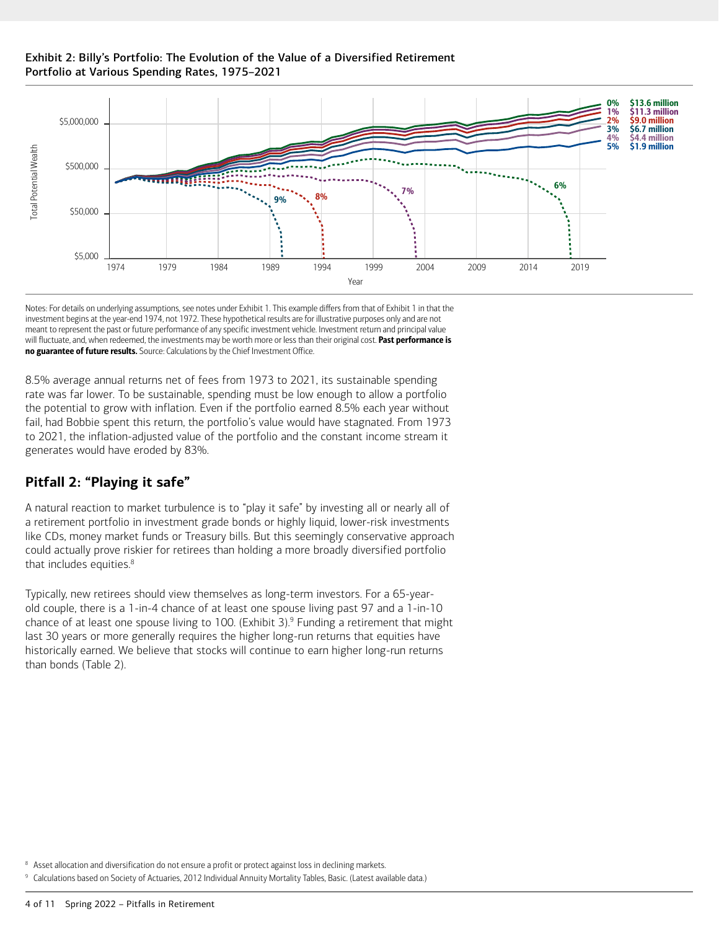### Exhibit 2: Billy's Portfolio: The Evolution of the Value of a Diversified Retirement Portfolio at Various Spending Rates, 1975–2021



Notes: For details on underlying assumptions, see notes under Exhibit 1. This example differs from that of Exhibit 1 in that the investment begins at the year-end 1974, not 1972. These hypothetical results are for illustrative purposes only and are not meant to represent the past or future performance of any specific investment vehicle. Investment return and principal value will fluctuate, and, when redeemed, the investments may be worth more or less than their original cost. Past performance is no guarantee of future results. Source: Calculations by the Chief Investment Office.

8.5% average annual returns net of fees from 1973 to 2021, its sustainable spending rate was far lower. To be sustainable, spending must be low enough to allow a portfolio the potential to grow with inflation. Even if the portfolio earned 8.5% each year without fail, had Bobbie spent this return, the portfolio's value would have stagnated. From 1973 to 2021, the inflation-adjusted value of the portfolio and the constant income stream it generates would have eroded by 83%.

# **Pitfall 2: "Playing it safe"**

A natural reaction to market turbulence is to "play it safe" by investing all or nearly all of a retirement portfolio in investment grade bonds or highly liquid, lower-risk investments like CDs, money market funds or Treasury bills. But this seemingly conservative approach could actually prove riskier for retirees than holding a more broadly diversified portfolio that includes equities.<sup>8</sup>

<span id="page-3-3"></span><span id="page-3-1"></span>Typically, new retirees should view themselves as long-term investors. For a 65-yearold couple, there is a 1-in-4 chance of at least one spouse living past 97 and a 1-in-10 chance of at least one spouse living to 100. (Exhibit 3)[.9](#page-3-2) Funding a retirement that might last 30 years or more generally requires the higher long-run returns that equities have historically earned. We believe that stocks will continue to earn higher long-run returns than bonds (Table 2).

<span id="page-3-0"></span>[8](#page-3-1) Asset allocation and diversification do not ensure a profit or protect against loss in declining markets.

<span id="page-3-2"></span><sup>[9](#page-3-3)</sup> Calculations based on Society of Actuaries, 2012 Individual Annuity Mortality Tables, Basic. (Latest available data.)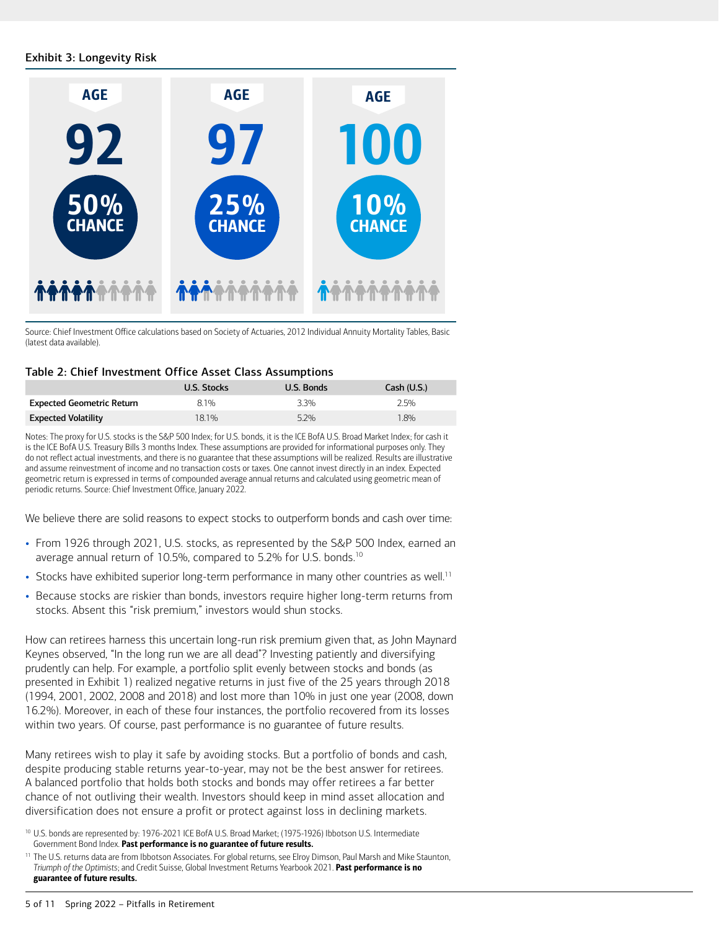### Exhibit 3: Longevity Risk



Source: Chief Investment Office calculations based on Society of Actuaries, 2012 Individual Annuity Mortality Tables, Basic (latest data available).

#### Table 2: Chief Investment Office Asset Class Assumptions

|                                  | U.S. Stocks | U.S. Bonds | Cash (U.S.) |
|----------------------------------|-------------|------------|-------------|
| <b>Expected Geometric Return</b> | 81%         | 3.3%       | 2.5%        |
| <b>Expected Volatility</b>       | 18.1%       | $5.2\%$    | 1.8%        |

Notes: The proxy for U.S. stocks is the S&P 500 Index; for U.S. bonds, it is the ICE BofA U.S. Broad Market Index; for cash it is the ICE BofA U.S. Treasury Bills 3 months Index. These assumptions are provided for informational purposes only. They do not reflect actual investments, and there is no guarantee that these assumptions will be realized. Results are illustrative and assume reinvestment of income and no transaction costs or taxes. One cannot invest directly in an index. Expected geometric return is expressed in terms of compounded average annual returns and calculated using geometric mean of periodic returns. Source: Chief Investment Office, January 2022.

We believe there are solid reasons to expect stocks to outperform bonds and cash over time:

- <span id="page-4-1"></span>• From 1926 through 2021, U.S. stocks, as represented by the S&P 500 Index, earned an average annual return of [10](#page-4-0).5%, compared to 5.2% for U.S. bonds.<sup>10</sup>
- <span id="page-4-3"></span>• Stocks have exhibited superior long-term performance in many other countries as well.<sup>[11](#page-4-2)</sup>
- Because stocks are riskier than bonds, investors require higher long-term returns from stocks. Absent this "risk premium," investors would shun stocks.

How can retirees harness this uncertain long-run risk premium given that, as John Maynard Keynes observed, "In the long run we are all dead"? Investing patiently and diversifying prudently can help. For example, a portfolio split evenly between stocks and bonds (as presented in Exhibit 1) realized negative returns in just five of the 25 years through 2018 (1994, 2001, 2002, 2008 and 2018) and lost more than 10% in just one year (2008, down 16.2%). Moreover, in each of these four instances, the portfolio recovered from its losses within two years. Of course, past performance is no guarantee of future results.

Many retirees wish to play it safe by avoiding stocks. But a portfolio of bonds and cash, despite producing stable returns year-to-year, may not be the best answer for retirees. A balanced portfolio that holds both stocks and bonds may offer retirees a far better chance of not outliving their wealth. Investors should keep in mind asset allocation and diversification does not ensure a profit or protect against loss in declining markets.

<span id="page-4-0"></span>[<sup>10</sup>](#page-4-1) U.S. bonds are represented by: 1976-2021 ICE BofA U.S. Broad Market; (1975-1926) Ibbotson U.S. Intermediate Government Bond Index. Past performance is no guarantee of future results.

<span id="page-4-2"></span><sup>&</sup>lt;sup>[11](#page-4-3)</sup> The U.S. returns data are from Ibbotson Associates. For global returns, see Elroy Dimson, Paul Marsh and Mike Staunton, *Triumph of the Optimists*; and Credit Suisse, Global Investment Returns Yearbook 2021. Past performance is no guarantee of future results.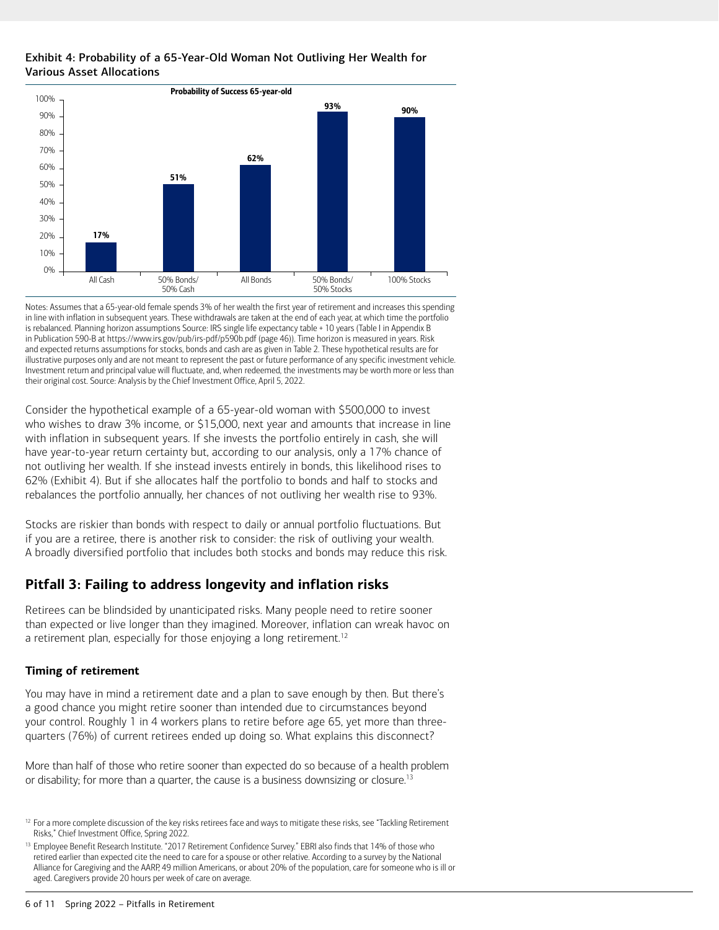### Exhibit 4: Probability of a 65-Year-Old Woman Not Outliving Her Wealth for Various Asset Allocations



Notes: Assumes that a 65-year-old female spends 3% of her wealth the first year of retirement and increases this spending in line with inflation in subsequent years. These withdrawals are taken at the end of each year, at which time the portfolio is rebalanced. Planning horizon assumptions Source: IRS single life expectancy table + 10 years (Table I in Appendix B in Publication 590-B at https://www.irs.gov/pub/irs-pdf/p590b.pdf (page 46)). Time horizon is measured in years. Risk and expected returns assumptions for stocks, bonds and cash are as given in Table 2. These hypothetical results are for illustrative purposes only and are not meant to represent the past or future performance of any specific investment vehicle. Investment return and principal value will fluctuate, and, when redeemed, the investments may be worth more or less than their original cost. Source: Analysis by the Chief Investment Office, April 5, 2022.

Consider the hypothetical example of a 65-year-old woman with \$500,000 to invest who wishes to draw 3% income, or \$15,000, next year and amounts that increase in line with inflation in subsequent years. If she invests the portfolio entirely in cash, she will have year-to-year return certainty but, according to our analysis, only a 17% chance of not outliving her wealth. If she instead invests entirely in bonds, this likelihood rises to 62% (Exhibit 4). But if she allocates half the portfolio to bonds and half to stocks and rebalances the portfolio annually, her chances of not outliving her wealth rise to 93%.

Stocks are riskier than bonds with respect to daily or annual portfolio fluctuations. But if you are a retiree, there is another risk to consider: the risk of outliving your wealth. A broadly diversified portfolio that includes both stocks and bonds may reduce this risk.

# **Pitfall 3: Failing to address longevity and inflation risks**

<span id="page-5-1"></span>Retirees can be blindsided by unanticipated risks. Many people need to retire sooner than expected or live longer than they imagined. Moreover, inflation can wreak havoc on a retirement plan, especially for those enjoying a long retirement.<sup>12</sup>

### **Timing of retirement**

You may have in mind a retirement date and a plan to save enough by then. But there's a good chance you might retire sooner than intended due to circumstances beyond your control. Roughly 1 in 4 workers plans to retire before age 65, yet more than threequarters (76%) of current retirees ended up doing so. What explains this disconnect?

<span id="page-5-3"></span>More than half of those who retire sooner than expected do so because of a health problem or disability; for more than a quarter, the cause is a business downsizing or closure.<sup>13</sup>

<span id="page-5-0"></span><sup>&</sup>lt;sup>[12](#page-5-1)</sup> For a more complete discussion of the key risks retirees face and ways to mitigate these risks, see "Tackling Retirement Risks," Chief Investment Office, Spring 2022.

<span id="page-5-2"></span><sup>&</sup>lt;sup>[13](#page-5-3)</sup> Employee Benefit Research Institute. "2017 Retirement Confidence Survey." EBRI also finds that 14% of those who retired earlier than expected cite the need to care for a spouse or other relative. According to a survey by the National Alliance for Caregiving and the AARP, 49 million Americans, or about 20% of the population, care for someone who is ill or aged. Caregivers provide 20 hours per week of care on average.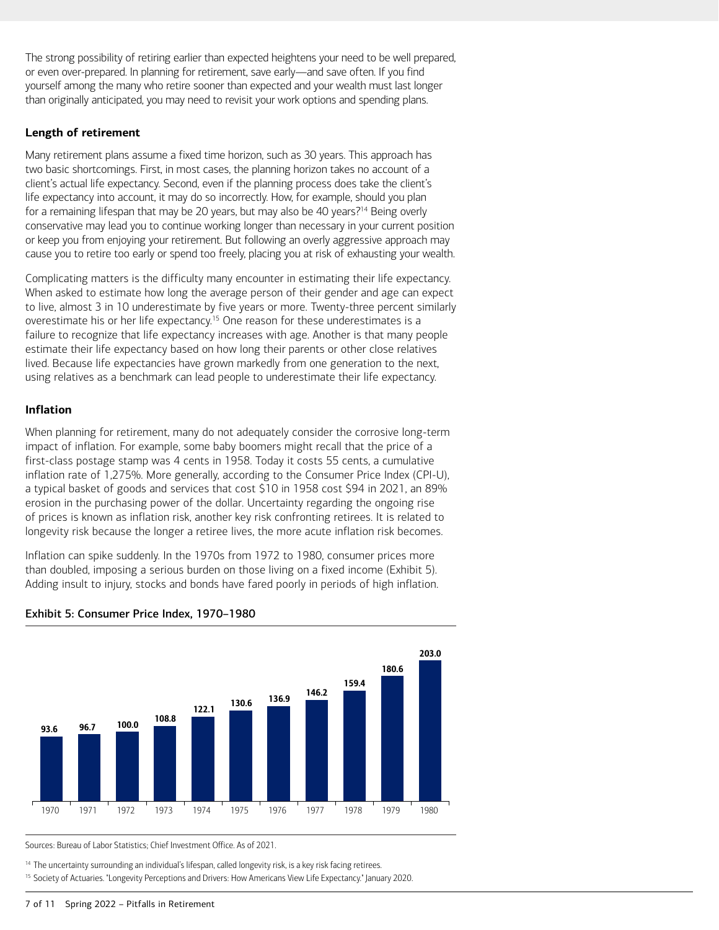The strong possibility of retiring earlier than expected heightens your need to be well prepared, or even over-prepared. In planning for retirement, save early—and save often. If you find yourself among the many who retire sooner than expected and your wealth must last longer than originally anticipated, you may need to revisit your work options and spending plans.

### **Length of retirement**

<span id="page-6-1"></span>Many retirement plans assume a fixed time horizon, such as 30 years. This approach has two basic shortcomings. First, in most cases, the planning horizon takes no account of a client's actual life expectancy. Second, even if the planning process does take the client's life expectancy into account, it may do so incorrectly. How, for example, should you plan for a remaining lifespan that may be 20 years, but may also be 40 years?<sup>14</sup> Being overly conservative may lead you to continue working longer than necessary in your current position or keep you from enjoying your retirement. But following an overly aggressive approach may cause you to retire too early or spend too freely, placing you at risk of exhausting your wealth.

<span id="page-6-3"></span>Complicating matters is the difficulty many encounter in estimating their life expectancy. When asked to estimate how long the average person of their gender and age can expect to live, almost 3 in 10 underestimate by five years or more. Twenty-three percent similarly overestimate his or her life expectancy.<sup>[15](#page-6-2)</sup> One reason for these underestimates is a failure to recognize that life expectancy increases with age. Another is that many people estimate their life expectancy based on how long their parents or other close relatives lived. Because life expectancies have grown markedly from one generation to the next, using relatives as a benchmark can lead people to underestimate their life expectancy.

### **Inflation**

When planning for retirement, many do not adequately consider the corrosive long-term impact of inflation. For example, some baby boomers might recall that the price of a first-class postage stamp was 4 cents in 1958. Today it costs 55 cents, a cumulative inflation rate of 1,275%. More generally, according to the Consumer Price Index (CPI-U), a typical basket of goods and services that cost \$10 in 1958 cost \$94 in 2021, an 89% erosion in the purchasing power of the dollar. Uncertainty regarding the ongoing rise of prices is known as inflation risk, another key risk confronting retirees. It is related to longevity risk because the longer a retiree lives, the more acute inflation risk becomes.

Inflation can spike suddenly. In the 1970s from 1972 to 1980, consumer prices more than doubled, imposing a serious burden on those living on a fixed income (Exhibit 5). Adding insult to injury, stocks and bonds have fared poorly in periods of high inflation.



### Exhibit 5: Consumer Price Index, 1970–1980

Sources: Bureau of Labor Statistics; Chief Investment Office. As of 2021.

<span id="page-6-0"></span><sup>[14](#page-6-1)</sup> The uncertainty surrounding an individual's lifespan, called longevity risk, is a key risk facing retirees.

<span id="page-6-2"></span><sup>[15](#page-6-3)</sup> Society of Actuaries. "Longevity Perceptions and Drivers: How Americans View Life Expectancy." January 2020.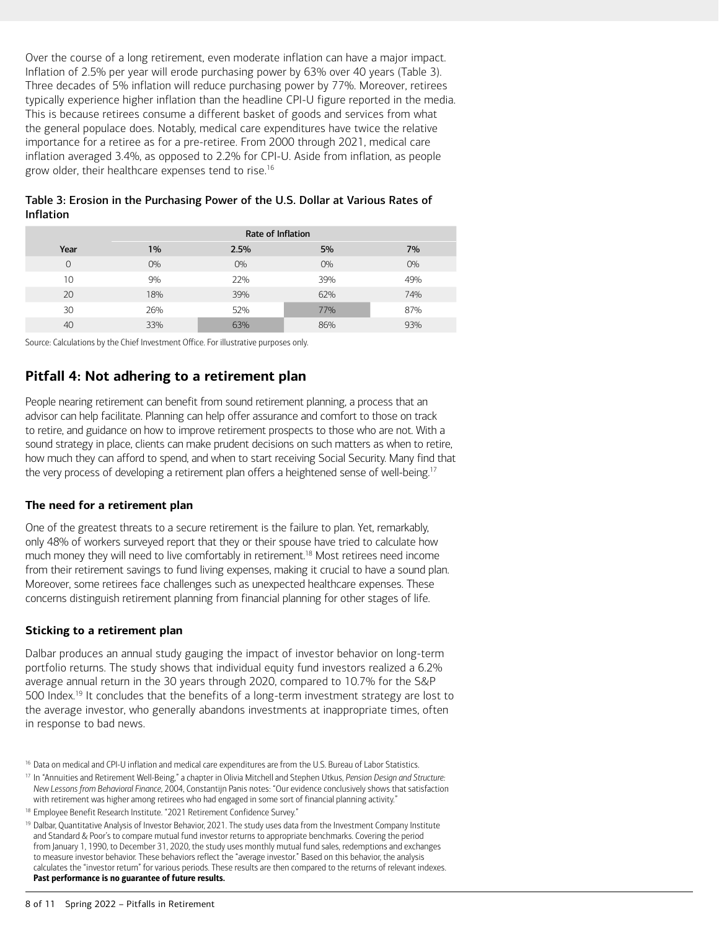Over the course of a long retirement, even moderate inflation can have a major impact. Inflation of 2.5% per year will erode purchasing power by 63% over 40 years (Table 3). Three decades of 5% inflation will reduce purchasing power by 77%. Moreover, retirees typically experience higher inflation than the headline CPI-U figure reported in the media. This is because retirees consume a different basket of goods and services from what the general populace does. Notably, medical care expenditures have twice the relative importance for a retiree as for a pre-retiree. From 2000 through 2021, medical care inflation averaged 3.4%, as opposed to 2.2% for CPI-U. Aside from inflation, as people grow older, their healthcare expenses tend to rise.<sup>16</sup>

<span id="page-7-1"></span>

| Table 3: Erosion in the Purchasing Power of the U.S. Dollar at Various Rates of |  |
|---------------------------------------------------------------------------------|--|
| <b>Inflation</b>                                                                |  |

|      | <b>Rate of Inflation</b> |       |       |       |  |
|------|--------------------------|-------|-------|-------|--|
| Year | 1%                       | 2.5%  | 5%    | 7%    |  |
|      | $O\%$                    | $O\%$ | $O\%$ | $O\%$ |  |
| 10   | 9%                       | 22%   | 39%   | 49%   |  |
| 20   | 18%                      | 39%   | 62%   | 74%   |  |
| 30   | 26%                      | 52%   | 77%   | 87%   |  |
| 40   | 33%                      | 63%   | 86%   | 93%   |  |

Source: Calculations by the Chief Investment Office. For illustrative purposes only.

## **Pitfall 4: Not adhering to a retirement plan**

People nearing retirement can benefit from sound retirement planning, a process that an advisor can help facilitate. Planning can help offer assurance and comfort to those on track to retire, and guidance on how to improve retirement prospects to those who are not. With a sound strategy in place, clients can make prudent decisions on such matters as when to retire, how much they can afford to spend, and when to start receiving Social Security. Many find that the very process of developing a retirement plan offers a heightened sense of well-being.<sup>17</sup>

### <span id="page-7-3"></span>**The need for a retirement plan**

<span id="page-7-5"></span>One of the greatest threats to a secure retirement is the failure to plan. Yet, remarkably, only 48% of workers surveyed report that they or their spouse have tried to calculate how much money they will need to live comfortably in retirement[.18](#page-7-4) Most retirees need income from their retirement savings to fund living expenses, making it crucial to have a sound plan. Moreover, some retirees face challenges such as unexpected healthcare expenses. These concerns distinguish retirement planning from financial planning for other stages of life.

#### **Sticking to a retirement plan**

<span id="page-7-7"></span>Dalbar produces an annual study gauging the impact of investor behavior on long-term portfolio returns. The study shows that individual equity fund investors realized a 6.2% average annual return in the 30 years through 2020, compared to 10.7% for the S&P 500 Index[.19](#page-7-6) It concludes that the benefits of a long-term investment strategy are lost to the average investor, who generally abandons investments at inappropriate times, often in response to bad news.

<span id="page-7-0"></span><sup>&</sup>lt;sup>[16](#page-7-1)</sup> Data on medical and CPI-U inflation and medical care expenditures are from the U.S. Bureau of Labor Statistics.

<span id="page-7-2"></span>[<sup>17</sup>](#page-7-3) In "Annuities and Retirement Well-Being," a chapter in Olivia Mitchell and Stephen Utkus, *Pension Design and Structure: New Lessons from Behavioral Finance*, 2004, Constantijn Panis notes: "Our evidence conclusively shows that satisfaction with retirement was higher among retirees who had engaged in some sort of financial planning activity."

<span id="page-7-4"></span><sup>&</sup>lt;sup>[18](#page-7-5)</sup> Employee Benefit Research Institute. "2021 Retirement Confidence Survey."

<span id="page-7-6"></span><sup>&</sup>lt;sup>[19](#page-7-7)</sup> Dalbar, Quantitative Analysis of Investor Behavior, 2021. The study uses data from the Investment Company Institute and Standard & Poor's to compare mutual fund investor returns to appropriate benchmarks. Covering the period from January 1, 1990, to December 31, 2020, the study uses monthly mutual fund sales, redemptions and exchanges to measure investor behavior. These behaviors reflect the "average investor." Based on this behavior, the analysis calculates the "investor return" for various periods. These results are then compared to the returns of relevant indexes. Past performance is no guarantee of future results.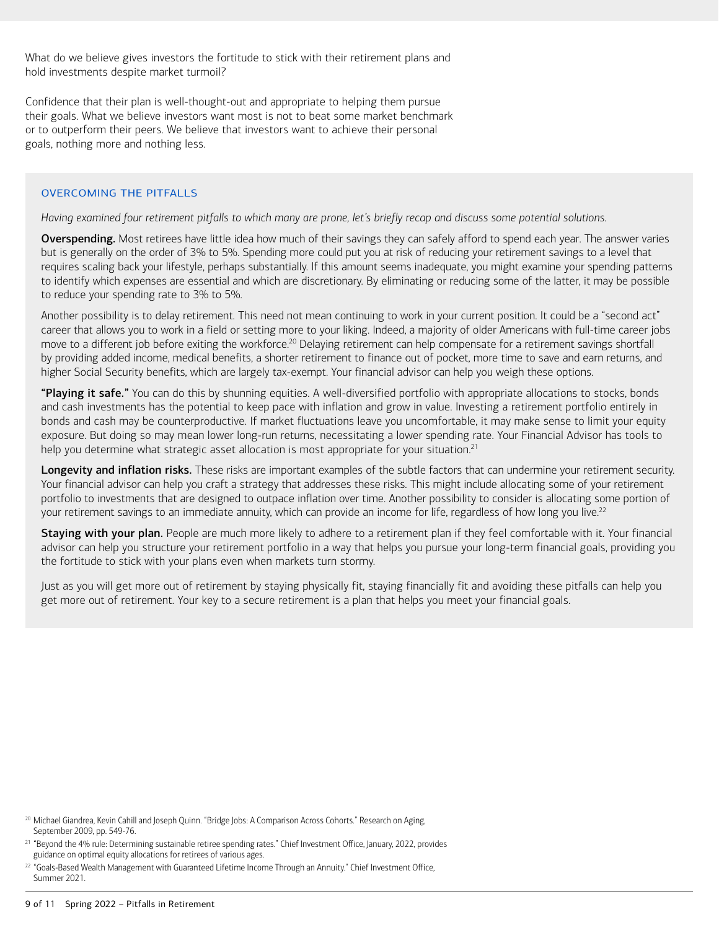What do we believe gives investors the fortitude to stick with their retirement plans and hold investments despite market turmoil?

Confidence that their plan is well-thought-out and appropriate to helping them pursue their goals. What we believe investors want most is not to beat some market benchmark or to outperform their peers. We believe that investors want to achieve their personal goals, nothing more and nothing less.

### OVERCOMING THE PITFALLS

#### *Having examined four retirement pitfalls to which many are prone, let's briefly recap and discuss some potential solutions.*

Overspending. Most retirees have little idea how much of their savings they can safely afford to spend each year. The answer varies but is generally on the order of 3% to 5%. Spending more could put you at risk of reducing your retirement savings to a level that requires scaling back your lifestyle, perhaps substantially. If this amount seems inadequate, you might examine your spending patterns to identify which expenses are essential and which are discretionary. By eliminating or reducing some of the latter, it may be possible to reduce your spending rate to 3% to 5%.

<span id="page-8-1"></span>Another possibility is to delay retirement. This need not mean continuing to work in your current position. It could be a "second act" career that allows you to work in a field or setting more to your liking. Indeed, a majority of older Americans with full-time career jobs move to a different job before exiting the workforce.<sup>20</sup> Delaying retirement can help compensate for a retirement savings shortfall by providing added income, medical benefits, a shorter retirement to finance out of pocket, more time to save and earn returns, and higher Social Security benefits, which are largely tax-exempt. Your financial advisor can help you weigh these options.

"Playing it safe." You can do this by shunning equities. A well-diversified portfolio with appropriate allocations to stocks, bonds and cash investments has the potential to keep pace with inflation and grow in value. Investing a retirement portfolio entirely in bonds and cash may be counterproductive. If market fluctuations leave you uncomfortable, it may make sense to limit your equity exposure. But doing so may mean lower long-run returns, necessitating a lower spending rate. Your Financial Advisor has tools to help you determine what strategic asset allocation is most appropriate for your situation.<sup>21</sup>

<span id="page-8-3"></span>Longevity and inflation risks. These risks are important examples of the subtle factors that can undermine your retirement security. Your financial advisor can help you craft a strategy that addresses these risks. This might include allocating some of your retirement portfolio to investments that are designed to outpace inflation over time. Another possibility to consider is allocating some portion of your retirement savings to an immediate annuity, which can provide an income for life, regardless of how long you live.<sup>22</sup>

<span id="page-8-5"></span>Staying with your plan. People are much more likely to adhere to a retirement plan if they feel comfortable with it. Your financial advisor can help you structure your retirement portfolio in a way that helps you pursue your long-term financial goals, providing you the fortitude to stick with your plans even when markets turn stormy.

Just as you will get more out of retirement by staying physically fit, staying financially fit and avoiding these pitfalls can help you get more out of retirement. Your key to a secure retirement is a plan that helps you meet your financial goals.

<span id="page-8-0"></span><sup>&</sup>lt;sup>[20](#page-8-1)</sup> Michael Giandrea, Kevin Cahill and Joseph Quinn. "Bridge Jobs: A Comparison Across Cohorts." Research on Aging, September 2009, pp. 549-76.

<span id="page-8-2"></span>[<sup>21</sup>](#page-8-3) "Beyond the 4% rule: Determining sustainable retiree spending rates." Chief Investment Office, January, 2022, provides guidance on optimal equity allocations for retirees of various ages.

<span id="page-8-4"></span><sup>&</sup>lt;sup>[22](#page-8-5)</sup> "Goals-Based Wealth Management with Guaranteed Lifetime Income Through an Annuity." Chief Investment Office, Summer 2021.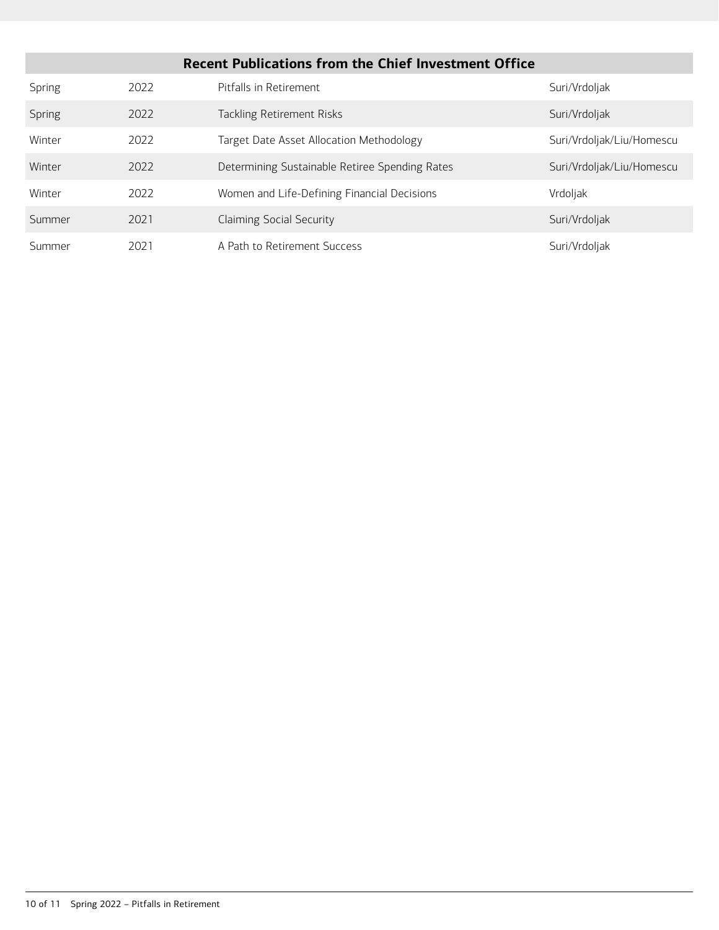| <b>Recent Publications from the Chief Investment Office</b> |      |                                                |                           |  |  |  |
|-------------------------------------------------------------|------|------------------------------------------------|---------------------------|--|--|--|
| Spring                                                      | 2022 | Pitfalls in Retirement                         | Suri/Vrdoljak             |  |  |  |
| Spring                                                      | 2022 | Tackling Retirement Risks                      | Suri/Vrdoljak             |  |  |  |
| Winter                                                      | 2022 | Target Date Asset Allocation Methodology       | Suri/Vrdoljak/Liu/Homescu |  |  |  |
| Winter                                                      | 2022 | Determining Sustainable Retiree Spending Rates | Suri/Vrdoljak/Liu/Homescu |  |  |  |
| Winter                                                      | 2022 | Women and Life-Defining Financial Decisions    | Vrdoljak                  |  |  |  |
| Summer                                                      | 2021 | <b>Claiming Social Security</b>                | Suri/Vrdoljak             |  |  |  |
| Summer                                                      | 2021 | A Path to Retirement Success                   | Suri/Vrdoljak             |  |  |  |